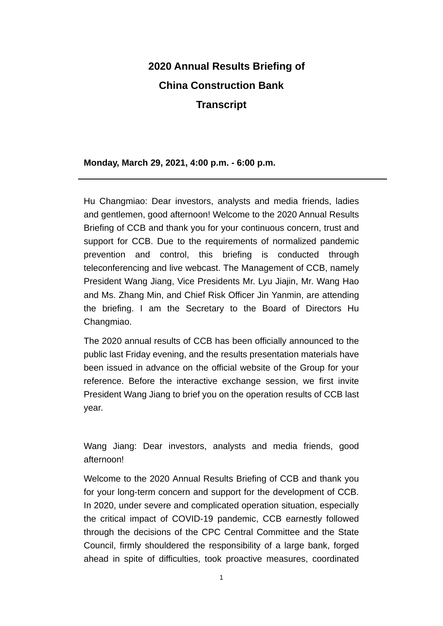# **2020 Annual Results Briefing of China Construction Bank Transcript**

#### **Monday, March 29, 2021, 4:00 p.m. - 6:00 p.m.**

Hu Changmiao: Dear investors, analysts and media friends, ladies and gentlemen, good afternoon! Welcome to the 2020 Annual Results Briefing of CCB and thank you for your continuous concern, trust and support for CCB. Due to the requirements of normalized pandemic prevention and control, this briefing is conducted through teleconferencing and live webcast. The Management of CCB, namely President Wang Jiang, Vice Presidents Mr. Lyu Jiajin, Mr. Wang Hao and Ms. Zhang Min, and Chief Risk Officer Jin Yanmin, are attending the briefing. I am the Secretary to the Board of Directors Hu Changmiao.

The 2020 annual results of CCB has been officially announced to the public last Friday evening, and the results presentation materials have been issued in advance on the official website of the Group for your reference. Before the interactive exchange session, we first invite President Wang Jiang to brief you on the operation results of CCB last year.

Wang Jiang: Dear investors, analysts and media friends, good afternoon!

Welcome to the 2020 Annual Results Briefing of CCB and thank you for your long-term concern and support for the development of CCB. In 2020, under severe and complicated operation situation, especially the critical impact of COVID-19 pandemic, CCB earnestly followed through the decisions of the CPC Central Committee and the State Council, firmly shouldered the responsibility of a large bank, forged ahead in spite of difficulties, took proactive measures, coordinated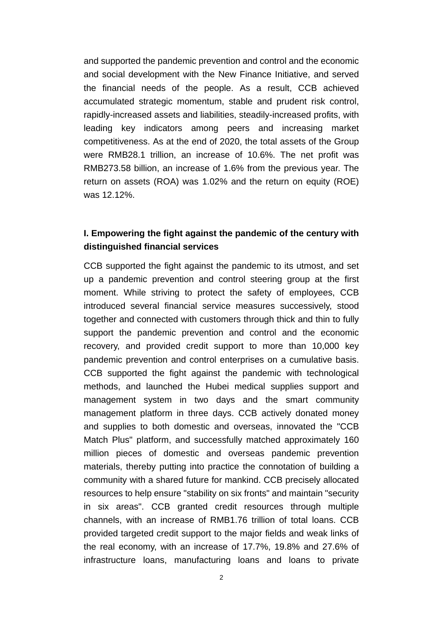and supported the pandemic prevention and control and the economic and social development with the New Finance Initiative, and served the financial needs of the people. As a result, CCB achieved accumulated strategic momentum, stable and prudent risk control, rapidly-increased assets and liabilities, steadily-increased profits, with leading key indicators among peers and increasing market competitiveness. As at the end of 2020, the total assets of the Group were RMB28.1 trillion, an increase of 10.6%. The net profit was RMB273.58 billion, an increase of 1.6% from the previous year. The return on assets (ROA) was 1.02% and the return on equity (ROE) was 12.12%.

## **I. Empowering the fight against the pandemic of the century with distinguished financial services**

CCB supported the fight against the pandemic to its utmost, and set up a pandemic prevention and control steering group at the first moment. While striving to protect the safety of employees, CCB introduced several financial service measures successively, stood together and connected with customers through thick and thin to fully support the pandemic prevention and control and the economic recovery, and provided credit support to more than 10,000 key pandemic prevention and control enterprises on a cumulative basis. CCB supported the fight against the pandemic with technological methods, and launched the Hubei medical supplies support and management system in two days and the smart community management platform in three days. CCB actively donated money and supplies to both domestic and overseas, innovated the "CCB Match Plus" platform, and successfully matched approximately 160 million pieces of domestic and overseas pandemic prevention materials, thereby putting into practice the connotation of building a community with a shared future for mankind. CCB precisely allocated resources to help ensure "stability on six fronts" and maintain "security in six areas". CCB granted credit resources through multiple channels, with an increase of RMB1.76 trillion of total loans. CCB provided targeted credit support to the major fields and weak links of the real economy, with an increase of 17.7%, 19.8% and 27.6% of infrastructure loans, manufacturing loans and loans to private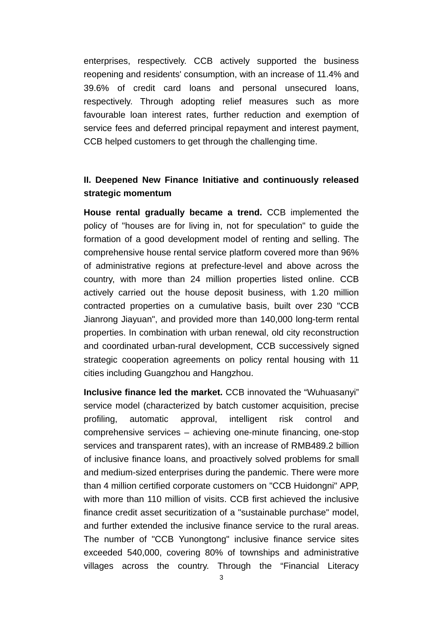enterprises, respectively. CCB actively supported the business reopening and residents' consumption, with an increase of 11.4% and 39.6% of credit card loans and personal unsecured loans, respectively. Through adopting relief measures such as more favourable loan interest rates, further reduction and exemption of service fees and deferred principal repayment and interest payment, CCB helped customers to get through the challenging time.

### **II. Deepened New Finance Initiative and continuously released strategic momentum**

**House rental gradually became a trend.** CCB implemented the policy of "houses are for living in, not for speculation" to guide the formation of a good development model of renting and selling. The comprehensive house rental service platform covered more than 96% of administrative regions at prefecture-level and above across the country, with more than 24 million properties listed online. CCB actively carried out the house deposit business, with 1.20 million contracted properties on a cumulative basis, built over 230 "CCB Jianrong Jiayuan", and provided more than 140,000 long-term rental properties. In combination with urban renewal, old city reconstruction and coordinated urban-rural development, CCB successively signed strategic cooperation agreements on policy rental housing with 11 cities including Guangzhou and Hangzhou.

**Inclusive finance led the market.** CCB innovated the "Wuhuasanyi" service model (characterized by batch customer acquisition, precise profiling, automatic approval, intelligent risk control and comprehensive services – achieving one-minute financing, one-stop services and transparent rates), with an increase of RMB489.2 billion of inclusive finance loans, and proactively solved problems for small and medium-sized enterprises during the pandemic. There were more than 4 million certified corporate customers on "CCB Huidongni" APP, with more than 110 million of visits. CCB first achieved the inclusive finance credit asset securitization of a "sustainable purchase" model, and further extended the inclusive finance service to the rural areas. The number of "CCB Yunongtong" inclusive finance service sites exceeded 540,000, covering 80% of townships and administrative villages across the country. Through the "Financial Literacy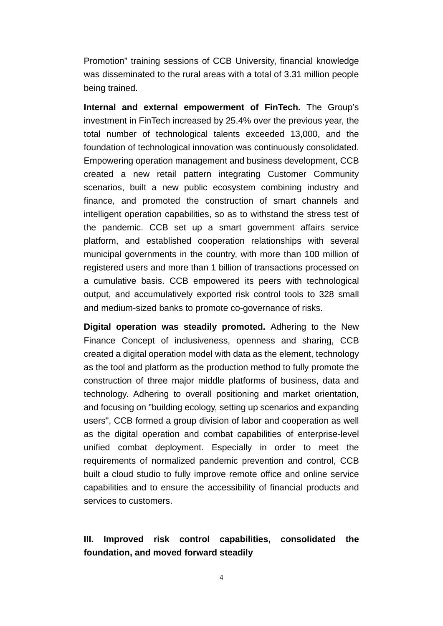Promotion" training sessions of CCB University, financial knowledge was disseminated to the rural areas with a total of 3.31 million people being trained.

**Internal and external empowerment of FinTech.** The Group's investment in FinTech increased by 25.4% over the previous year, the total number of technological talents exceeded 13,000, and the foundation of technological innovation was continuously consolidated. Empowering operation management and business development, CCB created a new retail pattern integrating Customer Community scenarios, built a new public ecosystem combining industry and finance, and promoted the construction of smart channels and intelligent operation capabilities, so as to withstand the stress test of the pandemic. CCB set up a smart government affairs service platform, and established cooperation relationships with several municipal governments in the country, with more than 100 million of registered users and more than 1 billion of transactions processed on a cumulative basis. CCB empowered its peers with technological output, and accumulatively exported risk control tools to 328 small and medium-sized banks to promote co-governance of risks.

**Digital operation was steadily promoted.** Adhering to the New Finance Concept of inclusiveness, openness and sharing, CCB created a digital operation model with data as the element, technology as the tool and platform as the production method to fully promote the construction of three major middle platforms of business, data and technology. Adhering to overall positioning and market orientation, and focusing on "building ecology, setting up scenarios and expanding users", CCB formed a group division of labor and cooperation as well as the digital operation and combat capabilities of enterprise-level unified combat deployment. Especially in order to meet the requirements of normalized pandemic prevention and control, CCB built a cloud studio to fully improve remote office and online service capabilities and to ensure the accessibility of financial products and services to customers.

## **III. Improved risk control capabilities, consolidated the foundation, and moved forward steadily**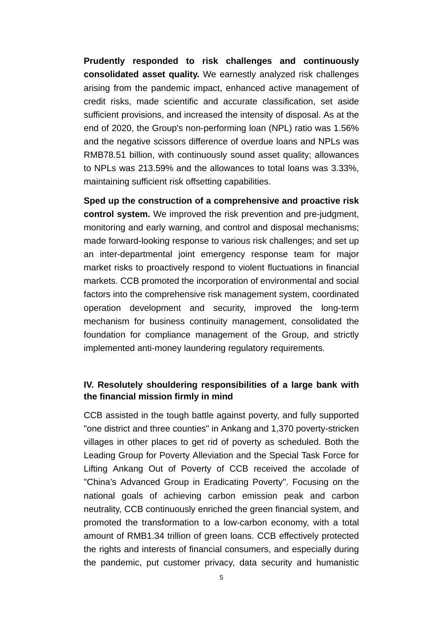**Prudently responded to risk challenges and continuously consolidated asset quality.** We earnestly analyzed risk challenges arising from the pandemic impact, enhanced active management of credit risks, made scientific and accurate classification, set aside sufficient provisions, and increased the intensity of disposal. As at the end of 2020, the Group's non-performing loan (NPL) ratio was 1.56% and the negative scissors difference of overdue loans and NPLs was RMB78.51 billion, with continuously sound asset quality; allowances to NPLs was 213.59% and the allowances to total loans was 3.33%, maintaining sufficient risk offsetting capabilities.

**Sped up the construction of a comprehensive and proactive risk control system.** We improved the risk prevention and pre-judgment, monitoring and early warning, and control and disposal mechanisms; made forward-looking response to various risk challenges; and set up an inter-departmental joint emergency response team for major market risks to proactively respond to violent fluctuations in financial markets. CCB promoted the incorporation of environmental and social factors into the comprehensive risk management system, coordinated operation development and security, improved the long-term mechanism for business continuity management, consolidated the foundation for compliance management of the Group, and strictly implemented anti-money laundering regulatory requirements.

#### **IV. Resolutely shouldering responsibilities of a large bank with the financial mission firmly in mind**

CCB assisted in the tough battle against poverty, and fully supported "one district and three counties" in Ankang and 1,370 poverty-stricken villages in other places to get rid of poverty as scheduled. Both the Leading Group for Poverty Alleviation and the Special Task Force for Lifting Ankang Out of Poverty of CCB received the accolade of "China's Advanced Group in Eradicating Poverty". Focusing on the national goals of achieving carbon emission peak and carbon neutrality, CCB continuously enriched the green financial system, and promoted the transformation to a low-carbon economy, with a total amount of RMB1.34 trillion of green loans. CCB effectively protected the rights and interests of financial consumers, and especially during the pandemic, put customer privacy, data security and humanistic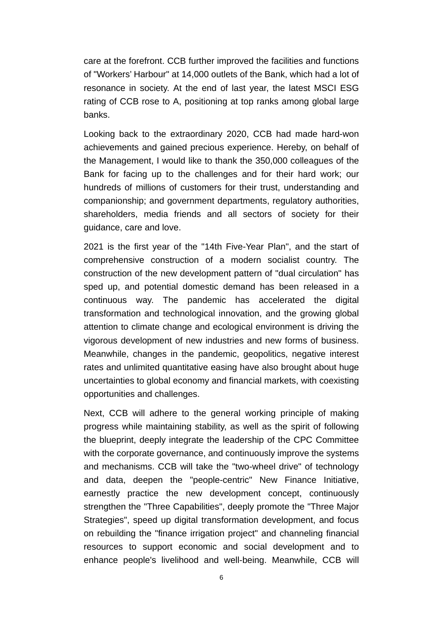care at the forefront. CCB further improved the facilities and functions of "Workers' Harbour" at 14,000 outlets of the Bank, which had a lot of resonance in society. At the end of last year, the latest MSCI ESG rating of CCB rose to A, positioning at top ranks among global large banks.

Looking back to the extraordinary 2020, CCB had made hard-won achievements and gained precious experience. Hereby, on behalf of the Management, I would like to thank the 350,000 colleagues of the Bank for facing up to the challenges and for their hard work; our hundreds of millions of customers for their trust, understanding and companionship; and government departments, regulatory authorities, shareholders, media friends and all sectors of society for their guidance, care and love.

2021 is the first year of the "14th Five-Year Plan", and the start of comprehensive construction of a modern socialist country. The construction of the new development pattern of "dual circulation" has sped up, and potential domestic demand has been released in a continuous way. The pandemic has accelerated the digital transformation and technological innovation, and the growing global attention to climate change and ecological environment is driving the vigorous development of new industries and new forms of business. Meanwhile, changes in the pandemic, geopolitics, negative interest rates and unlimited quantitative easing have also brought about huge uncertainties to global economy and financial markets, with coexisting opportunities and challenges.

Next, CCB will adhere to the general working principle of making progress while maintaining stability, as well as the spirit of following the blueprint, deeply integrate the leadership of the CPC Committee with the corporate governance, and continuously improve the systems and mechanisms. CCB will take the "two-wheel drive" of technology and data, deepen the "people-centric" New Finance Initiative, earnestly practice the new development concept, continuously strengthen the "Three Capabilities", deeply promote the "Three Major Strategies", speed up digital transformation development, and focus on rebuilding the "finance irrigation project" and channeling financial resources to support economic and social development and to enhance people's livelihood and well-being. Meanwhile, CCB will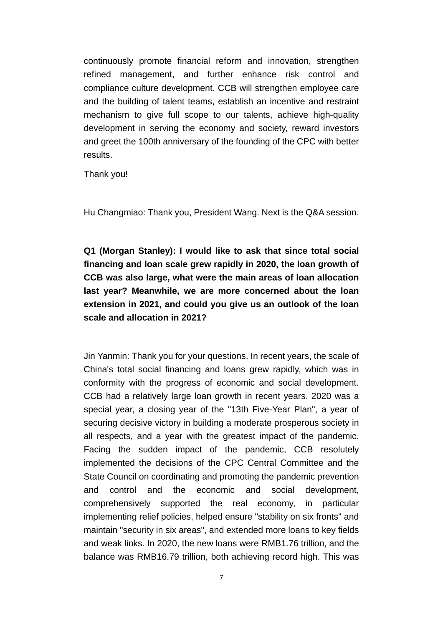continuously promote financial reform and innovation, strengthen refined management, and further enhance risk control and compliance culture development. CCB will strengthen employee care and the building of talent teams, establish an incentive and restraint mechanism to give full scope to our talents, achieve high-quality development in serving the economy and society, reward investors and greet the 100th anniversary of the founding of the CPC with better results.

Thank you!

Hu Changmiao: Thank you, President Wang. Next is the Q&A session.

**Q1 (Morgan Stanley): I would like to ask that since total social financing and loan scale grew rapidly in 2020, the loan growth of CCB was also large, what were the main areas of loan allocation last year? Meanwhile, we are more concerned about the loan extension in 2021, and could you give us an outlook of the loan scale and allocation in 2021?** 

Jin Yanmin: Thank you for your questions. In recent years, the scale of China's total social financing and loans grew rapidly, which was in conformity with the progress of economic and social development. CCB had a relatively large loan growth in recent years. 2020 was a special year, a closing year of the "13th Five-Year Plan", a year of securing decisive victory in building a moderate prosperous society in all respects, and a year with the greatest impact of the pandemic. Facing the sudden impact of the pandemic, CCB resolutely implemented the decisions of the CPC Central Committee and the State Council on coordinating and promoting the pandemic prevention and control and the economic and social development, comprehensively supported the real economy, in particular implementing relief policies, helped ensure "stability on six fronts" and maintain "security in six areas", and extended more loans to key fields and weak links. In 2020, the new loans were RMB1.76 trillion, and the balance was RMB16.79 trillion, both achieving record high. This was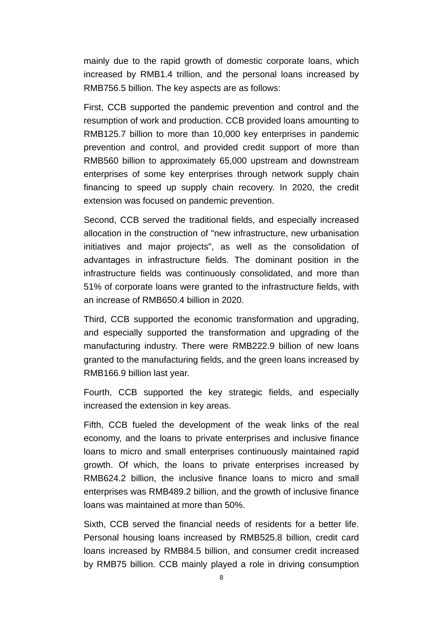mainly due to the rapid growth of domestic corporate loans, which increased by RMB1.4 trillion, and the personal loans increased by RMB756.5 billion. The key aspects are as follows:

First, CCB supported the pandemic prevention and control and the resumption of work and production. CCB provided loans amounting to RMB125.7 billion to more than 10,000 key enterprises in pandemic prevention and control, and provided credit support of more than RMB560 billion to approximately 65,000 upstream and downstream enterprises of some key enterprises through network supply chain financing to speed up supply chain recovery. In 2020, the credit extension was focused on pandemic prevention.

Second, CCB served the traditional fields, and especially increased allocation in the construction of "new infrastructure, new urbanisation initiatives and major projects", as well as the consolidation of advantages in infrastructure fields. The dominant position in the infrastructure fields was continuously consolidated, and more than 51% of corporate loans were granted to the infrastructure fields, with an increase of RMB650.4 billion in 2020.

Third, CCB supported the economic transformation and upgrading, and especially supported the transformation and upgrading of the manufacturing industry. There were RMB222.9 billion of new loans granted to the manufacturing fields, and the green loans increased by RMB166.9 billion last year.

Fourth, CCB supported the key strategic fields, and especially increased the extension in key areas.

Fifth, CCB fueled the development of the weak links of the real economy, and the loans to private enterprises and inclusive finance loans to micro and small enterprises continuously maintained rapid growth. Of which, the loans to private enterprises increased by RMB624.2 billion, the inclusive finance loans to micro and small enterprises was RMB489.2 billion, and the growth of inclusive finance loans was maintained at more than 50%.

Sixth, CCB served the financial needs of residents for a better life. Personal housing loans increased by RMB525.8 billion, credit card loans increased by RMB84.5 billion, and consumer credit increased by RMB75 billion. CCB mainly played a role in driving consumption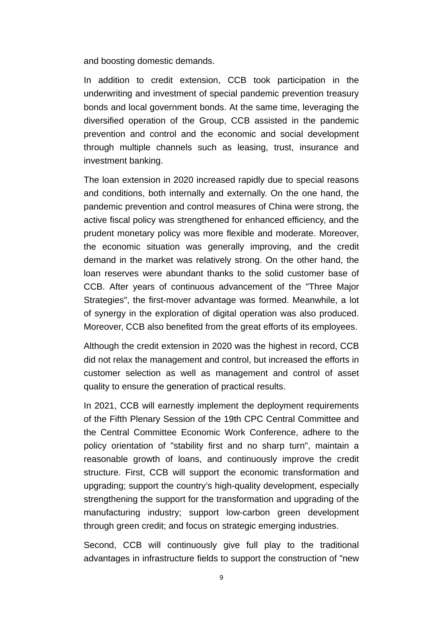and boosting domestic demands.

In addition to credit extension, CCB took participation in the underwriting and investment of special pandemic prevention treasury bonds and local government bonds. At the same time, leveraging the diversified operation of the Group, CCB assisted in the pandemic prevention and control and the economic and social development through multiple channels such as leasing, trust, insurance and investment banking.

The loan extension in 2020 increased rapidly due to special reasons and conditions, both internally and externally. On the one hand, the pandemic prevention and control measures of China were strong, the active fiscal policy was strengthened for enhanced efficiency, and the prudent monetary policy was more flexible and moderate. Moreover, the economic situation was generally improving, and the credit demand in the market was relatively strong. On the other hand, the loan reserves were abundant thanks to the solid customer base of CCB. After years of continuous advancement of the "Three Major Strategies", the first-mover advantage was formed. Meanwhile, a lot of synergy in the exploration of digital operation was also produced. Moreover, CCB also benefited from the great efforts of its employees.

Although the credit extension in 2020 was the highest in record, CCB did not relax the management and control, but increased the efforts in customer selection as well as management and control of asset quality to ensure the generation of practical results.

In 2021, CCB will earnestly implement the deployment requirements of the Fifth Plenary Session of the 19th CPC Central Committee and the Central Committee Economic Work Conference, adhere to the policy orientation of "stability first and no sharp turn", maintain a reasonable growth of loans, and continuously improve the credit structure. First, CCB will support the economic transformation and upgrading; support the country's high-quality development, especially strengthening the support for the transformation and upgrading of the manufacturing industry; support low-carbon green development through green credit; and focus on strategic emerging industries.

Second, CCB will continuously give full play to the traditional advantages in infrastructure fields to support the construction of "new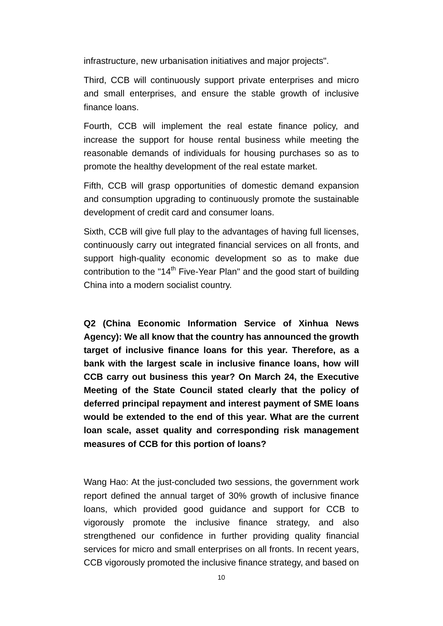infrastructure, new urbanisation initiatives and major projects".

Third, CCB will continuously support private enterprises and micro and small enterprises, and ensure the stable growth of inclusive finance loans.

Fourth, CCB will implement the real estate finance policy, and increase the support for house rental business while meeting the reasonable demands of individuals for housing purchases so as to promote the healthy development of the real estate market.

Fifth, CCB will grasp opportunities of domestic demand expansion and consumption upgrading to continuously promote the sustainable development of credit card and consumer loans.

Sixth, CCB will give full play to the advantages of having full licenses, continuously carry out integrated financial services on all fronts, and support high-quality economic development so as to make due contribution to the "14<sup>th</sup> Five-Year Plan" and the good start of building China into a modern socialist country.

**Q2 (China Economic Information Service of Xinhua News Agency): We all know that the country has announced the growth target of inclusive finance loans for this year. Therefore, as a bank with the largest scale in inclusive finance loans, how will CCB carry out business this year? On March 24, the Executive Meeting of the State Council stated clearly that the policy of deferred principal repayment and interest payment of SME loans would be extended to the end of this year. What are the current loan scale, asset quality and corresponding risk management measures of CCB for this portion of loans?** 

Wang Hao: At the just-concluded two sessions, the government work report defined the annual target of 30% growth of inclusive finance loans, which provided good guidance and support for CCB to vigorously promote the inclusive finance strategy, and also strengthened our confidence in further providing quality financial services for micro and small enterprises on all fronts. In recent years, CCB vigorously promoted the inclusive finance strategy, and based on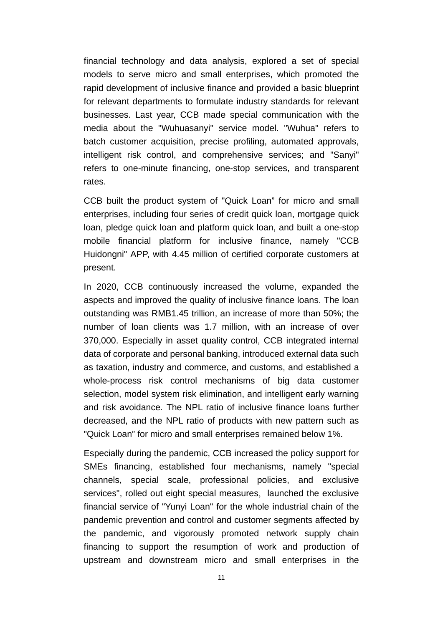financial technology and data analysis, explored a set of special models to serve micro and small enterprises, which promoted the rapid development of inclusive finance and provided a basic blueprint for relevant departments to formulate industry standards for relevant businesses. Last year, CCB made special communication with the media about the "Wuhuasanyi" service model. "Wuhua" refers to batch customer acquisition, precise profiling, automated approvals, intelligent risk control, and comprehensive services; and "Sanyi" refers to one-minute financing, one-stop services, and transparent rates.

CCB built the product system of "Quick Loan" for micro and small enterprises, including four series of credit quick loan, mortgage quick loan, pledge quick loan and platform quick loan, and built a one-stop mobile financial platform for inclusive finance, namely "CCB Huidongni" APP, with 4.45 million of certified corporate customers at present.

In 2020, CCB continuously increased the volume, expanded the aspects and improved the quality of inclusive finance loans. The loan outstanding was RMB1.45 trillion, an increase of more than 50%; the number of loan clients was 1.7 million, with an increase of over 370,000. Especially in asset quality control, CCB integrated internal data of corporate and personal banking, introduced external data such as taxation, industry and commerce, and customs, and established a whole-process risk control mechanisms of big data customer selection, model system risk elimination, and intelligent early warning and risk avoidance. The NPL ratio of inclusive finance loans further decreased, and the NPL ratio of products with new pattern such as "Quick Loan" for micro and small enterprises remained below 1%.

Especially during the pandemic, CCB increased the policy support for SMEs financing, established four mechanisms, namely "special channels, special scale, professional policies, and exclusive services", rolled out eight special measures, launched the exclusive financial service of "Yunyi Loan" for the whole industrial chain of the pandemic prevention and control and customer segments affected by the pandemic, and vigorously promoted network supply chain financing to support the resumption of work and production of upstream and downstream micro and small enterprises in the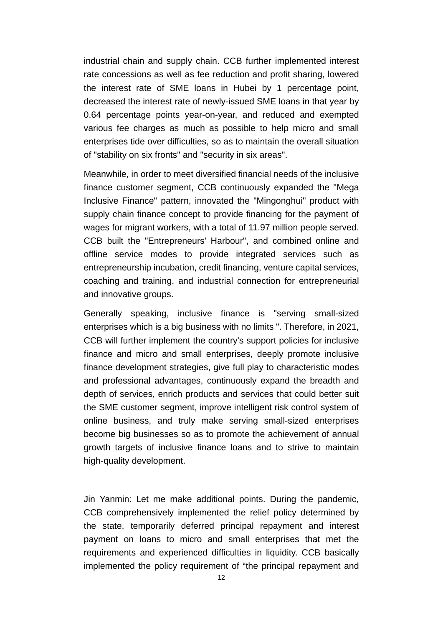industrial chain and supply chain. CCB further implemented interest rate concessions as well as fee reduction and profit sharing, lowered the interest rate of SME loans in Hubei by 1 percentage point, decreased the interest rate of newly-issued SME loans in that year by 0.64 percentage points year-on-year, and reduced and exempted various fee charges as much as possible to help micro and small enterprises tide over difficulties, so as to maintain the overall situation of "stability on six fronts" and "security in six areas".

Meanwhile, in order to meet diversified financial needs of the inclusive finance customer segment, CCB continuously expanded the "Mega Inclusive Finance" pattern, innovated the "Mingonghui" product with supply chain finance concept to provide financing for the payment of wages for migrant workers, with a total of 11.97 million people served. CCB built the "Entrepreneurs' Harbour", and combined online and offline service modes to provide integrated services such as entrepreneurship incubation, credit financing, venture capital services, coaching and training, and industrial connection for entrepreneurial and innovative groups.

Generally speaking, inclusive finance is "serving small-sized enterprises which is a big business with no limits ". Therefore, in 2021, CCB will further implement the country's support policies for inclusive finance and micro and small enterprises, deeply promote inclusive finance development strategies, give full play to characteristic modes and professional advantages, continuously expand the breadth and depth of services, enrich products and services that could better suit the SME customer segment, improve intelligent risk control system of online business, and truly make serving small-sized enterprises become big businesses so as to promote the achievement of annual growth targets of inclusive finance loans and to strive to maintain high-quality development.

Jin Yanmin: Let me make additional points. During the pandemic, CCB comprehensively implemented the relief policy determined by the state, temporarily deferred principal repayment and interest payment on loans to micro and small enterprises that met the requirements and experienced difficulties in liquidity. CCB basically implemented the policy requirement of "the principal repayment and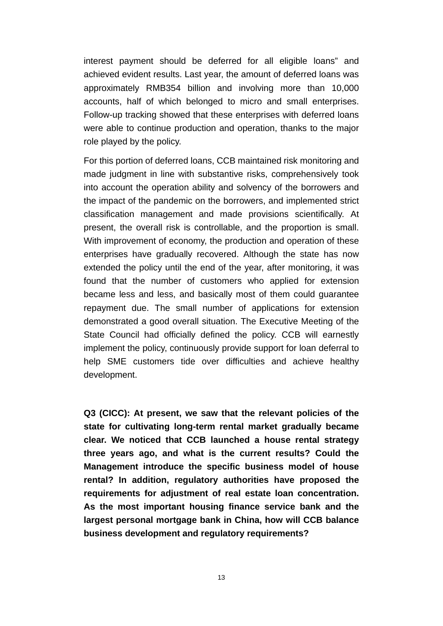interest payment should be deferred for all eligible loans" and achieved evident results. Last year, the amount of deferred loans was approximately RMB354 billion and involving more than 10,000 accounts, half of which belonged to micro and small enterprises. Follow-up tracking showed that these enterprises with deferred loans were able to continue production and operation, thanks to the major role played by the policy.

For this portion of deferred loans, CCB maintained risk monitoring and made judgment in line with substantive risks, comprehensively took into account the operation ability and solvency of the borrowers and the impact of the pandemic on the borrowers, and implemented strict classification management and made provisions scientifically. At present, the overall risk is controllable, and the proportion is small. With improvement of economy, the production and operation of these enterprises have gradually recovered. Although the state has now extended the policy until the end of the year, after monitoring, it was found that the number of customers who applied for extension became less and less, and basically most of them could guarantee repayment due. The small number of applications for extension demonstrated a good overall situation. The Executive Meeting of the State Council had officially defined the policy. CCB will earnestly implement the policy, continuously provide support for loan deferral to help SME customers tide over difficulties and achieve healthy development.

**Q3 (CICC): At present, we saw that the relevant policies of the state for cultivating long-term rental market gradually became clear. We noticed that CCB launched a house rental strategy three years ago, and what is the current results? Could the Management introduce the specific business model of house rental? In addition, regulatory authorities have proposed the requirements for adjustment of real estate loan concentration. As the most important housing finance service bank and the largest personal mortgage bank in China, how will CCB balance business development and regulatory requirements?**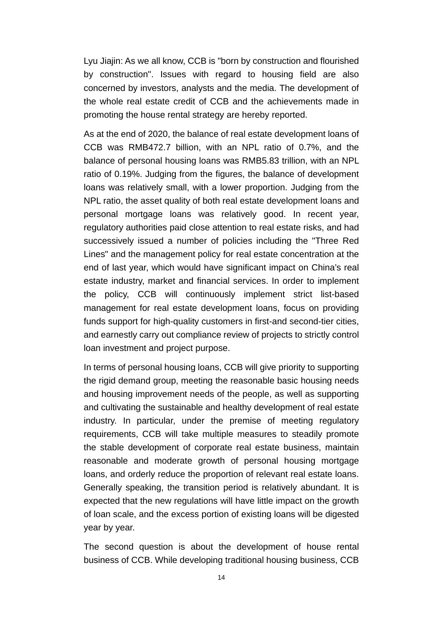Lyu Jiajin: As we all know, CCB is "born by construction and flourished by construction". Issues with regard to housing field are also concerned by investors, analysts and the media. The development of the whole real estate credit of CCB and the achievements made in promoting the house rental strategy are hereby reported.

As at the end of 2020, the balance of real estate development loans of CCB was RMB472.7 billion, with an NPL ratio of 0.7%, and the balance of personal housing loans was RMB5.83 trillion, with an NPL ratio of 0.19%. Judging from the figures, the balance of development loans was relatively small, with a lower proportion. Judging from the NPL ratio, the asset quality of both real estate development loans and personal mortgage loans was relatively good. In recent year, regulatory authorities paid close attention to real estate risks, and had successively issued a number of policies including the "Three Red Lines" and the management policy for real estate concentration at the end of last year, which would have significant impact on China's real estate industry, market and financial services. In order to implement the policy, CCB will continuously implement strict list-based management for real estate development loans, focus on providing funds support for high-quality customers in first-and second-tier cities, and earnestly carry out compliance review of projects to strictly control loan investment and project purpose.

In terms of personal housing loans, CCB will give priority to supporting the rigid demand group, meeting the reasonable basic housing needs and housing improvement needs of the people, as well as supporting and cultivating the sustainable and healthy development of real estate industry. In particular, under the premise of meeting regulatory requirements, CCB will take multiple measures to steadily promote the stable development of corporate real estate business, maintain reasonable and moderate growth of personal housing mortgage loans, and orderly reduce the proportion of relevant real estate loans. Generally speaking, the transition period is relatively abundant. It is expected that the new regulations will have little impact on the growth of loan scale, and the excess portion of existing loans will be digested year by year.

The second question is about the development of house rental business of CCB. While developing traditional housing business, CCB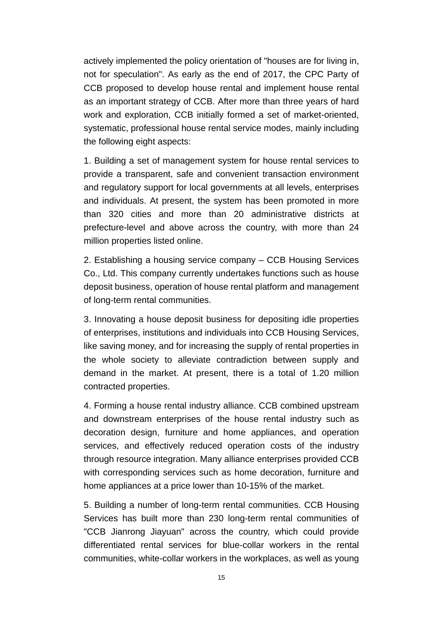actively implemented the policy orientation of "houses are for living in, not for speculation". As early as the end of 2017, the CPC Party of CCB proposed to develop house rental and implement house rental as an important strategy of CCB. After more than three years of hard work and exploration, CCB initially formed a set of market-oriented, systematic, professional house rental service modes, mainly including the following eight aspects:

1. Building a set of management system for house rental services to provide a transparent, safe and convenient transaction environment and regulatory support for local governments at all levels, enterprises and individuals. At present, the system has been promoted in more than 320 cities and more than 20 administrative districts at prefecture-level and above across the country, with more than 24 million properties listed online.

2. Establishing a housing service company – CCB Housing Services Co., Ltd. This company currently undertakes functions such as house deposit business, operation of house rental platform and management of long-term rental communities.

3. Innovating a house deposit business for depositing idle properties of enterprises, institutions and individuals into CCB Housing Services, like saving money, and for increasing the supply of rental properties in the whole society to alleviate contradiction between supply and demand in the market. At present, there is a total of 1.20 million contracted properties.

4. Forming a house rental industry alliance. CCB combined upstream and downstream enterprises of the house rental industry such as decoration design, furniture and home appliances, and operation services, and effectively reduced operation costs of the industry through resource integration. Many alliance enterprises provided CCB with corresponding services such as home decoration, furniture and home appliances at a price lower than 10-15% of the market.

5. Building a number of long-term rental communities. CCB Housing Services has built more than 230 long-term rental communities of "CCB Jianrong Jiayuan" across the country, which could provide differentiated rental services for blue-collar workers in the rental communities, white-collar workers in the workplaces, as well as young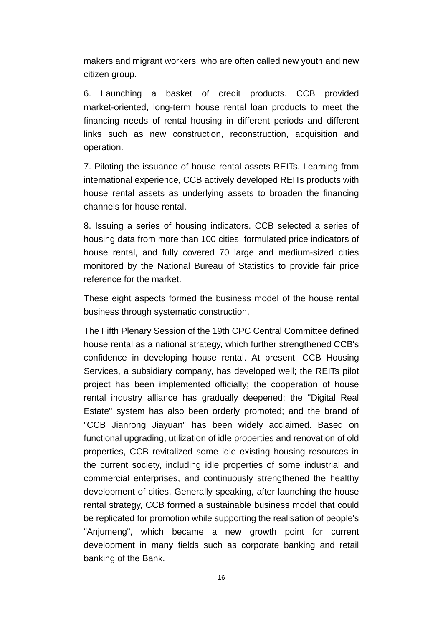makers and migrant workers, who are often called new youth and new citizen group.

6. Launching a basket of credit products. CCB provided market-oriented, long-term house rental loan products to meet the financing needs of rental housing in different periods and different links such as new construction, reconstruction, acquisition and operation.

7. Piloting the issuance of house rental assets REITs. Learning from international experience, CCB actively developed REITs products with house rental assets as underlying assets to broaden the financing channels for house rental.

8. Issuing a series of housing indicators. CCB selected a series of housing data from more than 100 cities, formulated price indicators of house rental, and fully covered 70 large and medium-sized cities monitored by the National Bureau of Statistics to provide fair price reference for the market.

These eight aspects formed the business model of the house rental business through systematic construction.

The Fifth Plenary Session of the 19th CPC Central Committee defined house rental as a national strategy, which further strengthened CCB's confidence in developing house rental. At present, CCB Housing Services, a subsidiary company, has developed well; the REITs pilot project has been implemented officially; the cooperation of house rental industry alliance has gradually deepened; the "Digital Real Estate" system has also been orderly promoted; and the brand of "CCB Jianrong Jiayuan" has been widely acclaimed. Based on functional upgrading, utilization of idle properties and renovation of old properties, CCB revitalized some idle existing housing resources in the current society, including idle properties of some industrial and commercial enterprises, and continuously strengthened the healthy development of cities. Generally speaking, after launching the house rental strategy, CCB formed a sustainable business model that could be replicated for promotion while supporting the realisation of people's "Anjumeng", which became a new growth point for current development in many fields such as corporate banking and retail banking of the Bank.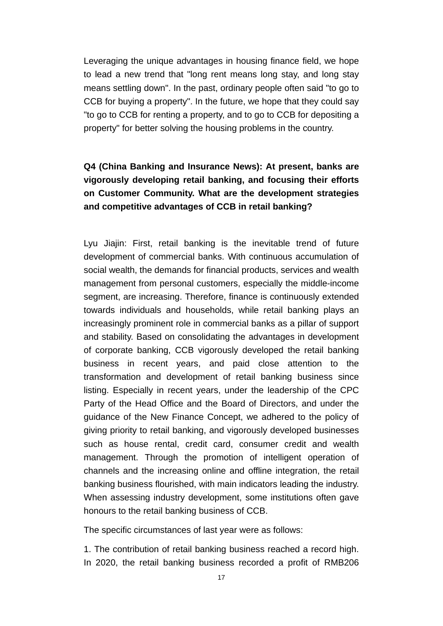Leveraging the unique advantages in housing finance field, we hope to lead a new trend that "long rent means long stay, and long stay means settling down". In the past, ordinary people often said "to go to CCB for buying a property". In the future, we hope that they could say "to go to CCB for renting a property, and to go to CCB for depositing a property" for better solving the housing problems in the country.

# **Q4 (China Banking and Insurance News): At present, banks are vigorously developing retail banking, and focusing their efforts on Customer Community. What are the development strategies and competitive advantages of CCB in retail banking?**

Lyu Jiajin: First, retail banking is the inevitable trend of future development of commercial banks. With continuous accumulation of social wealth, the demands for financial products, services and wealth management from personal customers, especially the middle-income segment, are increasing. Therefore, finance is continuously extended towards individuals and households, while retail banking plays an increasingly prominent role in commercial banks as a pillar of support and stability. Based on consolidating the advantages in development of corporate banking, CCB vigorously developed the retail banking business in recent years, and paid close attention to the transformation and development of retail banking business since listing. Especially in recent years, under the leadership of the CPC Party of the Head Office and the Board of Directors, and under the guidance of the New Finance Concept, we adhered to the policy of giving priority to retail banking, and vigorously developed businesses such as house rental, credit card, consumer credit and wealth management. Through the promotion of intelligent operation of channels and the increasing online and offline integration, the retail banking business flourished, with main indicators leading the industry. When assessing industry development, some institutions often gave honours to the retail banking business of CCB.

The specific circumstances of last year were as follows:

1. The contribution of retail banking business reached a record high. In 2020, the retail banking business recorded a profit of RMB206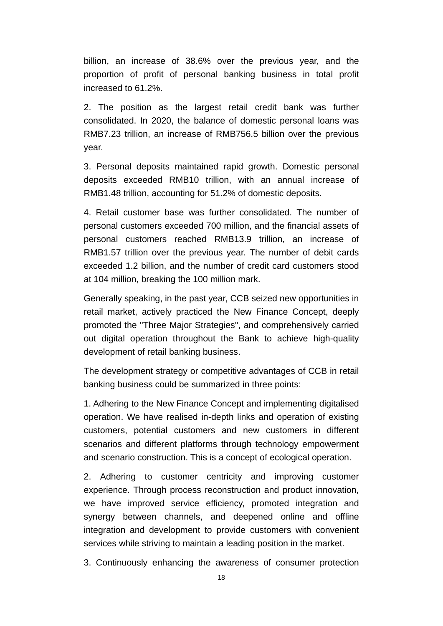billion, an increase of 38.6% over the previous year, and the proportion of profit of personal banking business in total profit increased to 61.2%.

2. The position as the largest retail credit bank was further consolidated. In 2020, the balance of domestic personal loans was RMB7.23 trillion, an increase of RMB756.5 billion over the previous year.

3. Personal deposits maintained rapid growth. Domestic personal deposits exceeded RMB10 trillion, with an annual increase of RMB1.48 trillion, accounting for 51.2% of domestic deposits.

4. Retail customer base was further consolidated. The number of personal customers exceeded 700 million, and the financial assets of personal customers reached RMB13.9 trillion, an increase of RMB1.57 trillion over the previous year. The number of debit cards exceeded 1.2 billion, and the number of credit card customers stood at 104 million, breaking the 100 million mark.

Generally speaking, in the past year, CCB seized new opportunities in retail market, actively practiced the New Finance Concept, deeply promoted the "Three Major Strategies", and comprehensively carried out digital operation throughout the Bank to achieve high-quality development of retail banking business.

The development strategy or competitive advantages of CCB in retail banking business could be summarized in three points:

1. Adhering to the New Finance Concept and implementing digitalised operation. We have realised in-depth links and operation of existing customers, potential customers and new customers in different scenarios and different platforms through technology empowerment and scenario construction. This is a concept of ecological operation.

2. Adhering to customer centricity and improving customer experience. Through process reconstruction and product innovation, we have improved service efficiency, promoted integration and synergy between channels, and deepened online and offline integration and development to provide customers with convenient services while striving to maintain a leading position in the market.

3. Continuously enhancing the awareness of consumer protection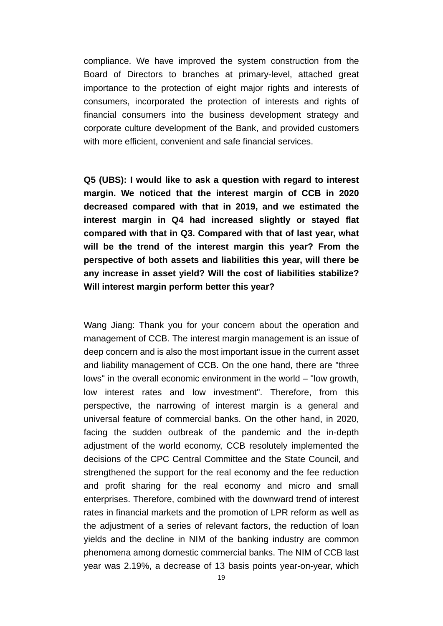compliance. We have improved the system construction from the Board of Directors to branches at primary-level, attached great importance to the protection of eight major rights and interests of consumers, incorporated the protection of interests and rights of financial consumers into the business development strategy and corporate culture development of the Bank, and provided customers with more efficient, convenient and safe financial services.

**Q5 (UBS): I would like to ask a question with regard to interest margin. We noticed that the interest margin of CCB in 2020 decreased compared with that in 2019, and we estimated the interest margin in Q4 had increased slightly or stayed flat compared with that in Q3. Compared with that of last year, what will be the trend of the interest margin this year? From the perspective of both assets and liabilities this year, will there be any increase in asset yield? Will the cost of liabilities stabilize? Will interest margin perform better this year?** 

Wang Jiang: Thank you for your concern about the operation and management of CCB. The interest margin management is an issue of deep concern and is also the most important issue in the current asset and liability management of CCB. On the one hand, there are "three lows" in the overall economic environment in the world – "low growth, low interest rates and low investment". Therefore, from this perspective, the narrowing of interest margin is a general and universal feature of commercial banks. On the other hand, in 2020, facing the sudden outbreak of the pandemic and the in-depth adjustment of the world economy, CCB resolutely implemented the decisions of the CPC Central Committee and the State Council, and strengthened the support for the real economy and the fee reduction and profit sharing for the real economy and micro and small enterprises. Therefore, combined with the downward trend of interest rates in financial markets and the promotion of LPR reform as well as the adjustment of a series of relevant factors, the reduction of loan yields and the decline in NIM of the banking industry are common phenomena among domestic commercial banks. The NIM of CCB last year was 2.19%, a decrease of 13 basis points year-on-year, which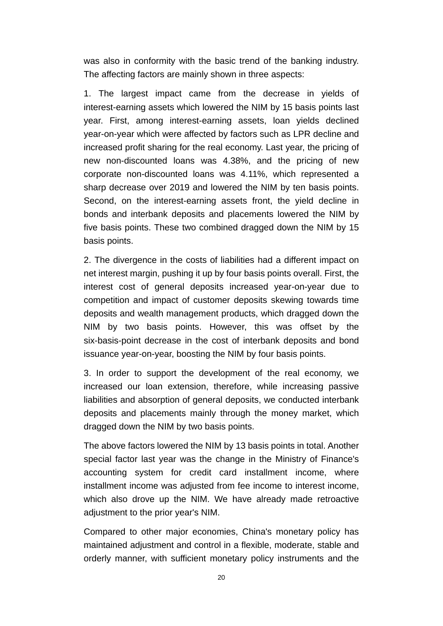was also in conformity with the basic trend of the banking industry. The affecting factors are mainly shown in three aspects:

1. The largest impact came from the decrease in yields of interest-earning assets which lowered the NIM by 15 basis points last year. First, among interest-earning assets, loan yields declined year-on-year which were affected by factors such as LPR decline and increased profit sharing for the real economy. Last year, the pricing of new non-discounted loans was 4.38%, and the pricing of new corporate non-discounted loans was 4.11%, which represented a sharp decrease over 2019 and lowered the NIM by ten basis points. Second, on the interest-earning assets front, the yield decline in bonds and interbank deposits and placements lowered the NIM by five basis points. These two combined dragged down the NIM by 15 basis points.

2. The divergence in the costs of liabilities had a different impact on net interest margin, pushing it up by four basis points overall. First, the interest cost of general deposits increased year-on-year due to competition and impact of customer deposits skewing towards time deposits and wealth management products, which dragged down the NIM by two basis points. However, this was offset by the six-basis-point decrease in the cost of interbank deposits and bond issuance year-on-year, boosting the NIM by four basis points.

3. In order to support the development of the real economy, we increased our loan extension, therefore, while increasing passive liabilities and absorption of general deposits, we conducted interbank deposits and placements mainly through the money market, which dragged down the NIM by two basis points.

The above factors lowered the NIM by 13 basis points in total. Another special factor last year was the change in the Ministry of Finance's accounting system for credit card installment income, where installment income was adjusted from fee income to interest income, which also drove up the NIM. We have already made retroactive adjustment to the prior year's NIM.

Compared to other major economies, China's monetary policy has maintained adjustment and control in a flexible, moderate, stable and orderly manner, with sufficient monetary policy instruments and the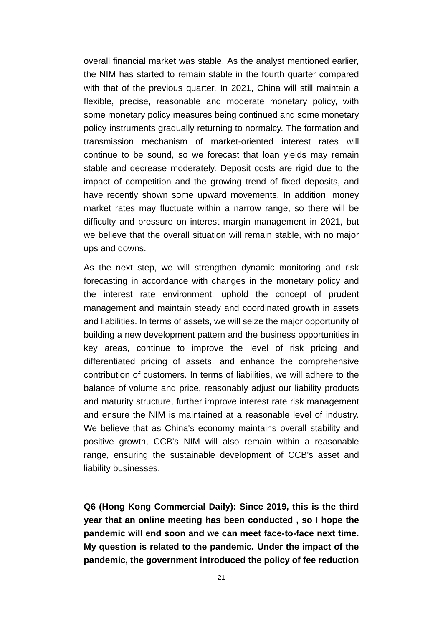overall financial market was stable. As the analyst mentioned earlier, the NIM has started to remain stable in the fourth quarter compared with that of the previous quarter. In 2021, China will still maintain a flexible, precise, reasonable and moderate monetary policy, with some monetary policy measures being continued and some monetary policy instruments gradually returning to normalcy. The formation and transmission mechanism of market-oriented interest rates will continue to be sound, so we forecast that loan yields may remain stable and decrease moderately. Deposit costs are rigid due to the impact of competition and the growing trend of fixed deposits, and have recently shown some upward movements. In addition, money market rates may fluctuate within a narrow range, so there will be difficulty and pressure on interest margin management in 2021, but we believe that the overall situation will remain stable, with no major ups and downs.

As the next step, we will strengthen dynamic monitoring and risk forecasting in accordance with changes in the monetary policy and the interest rate environment, uphold the concept of prudent management and maintain steady and coordinated growth in assets and liabilities. In terms of assets, we will seize the major opportunity of building a new development pattern and the business opportunities in key areas, continue to improve the level of risk pricing and differentiated pricing of assets, and enhance the comprehensive contribution of customers. In terms of liabilities, we will adhere to the balance of volume and price, reasonably adjust our liability products and maturity structure, further improve interest rate risk management and ensure the NIM is maintained at a reasonable level of industry. We believe that as China's economy maintains overall stability and positive growth, CCB's NIM will also remain within a reasonable range, ensuring the sustainable development of CCB's asset and liability businesses.

**Q6 (Hong Kong Commercial Daily): Since 2019, this is the third year that an online meeting has been conducted , so I hope the pandemic will end soon and we can meet face-to-face next time. My question is related to the pandemic. Under the impact of the pandemic, the government introduced the policy of fee reduction**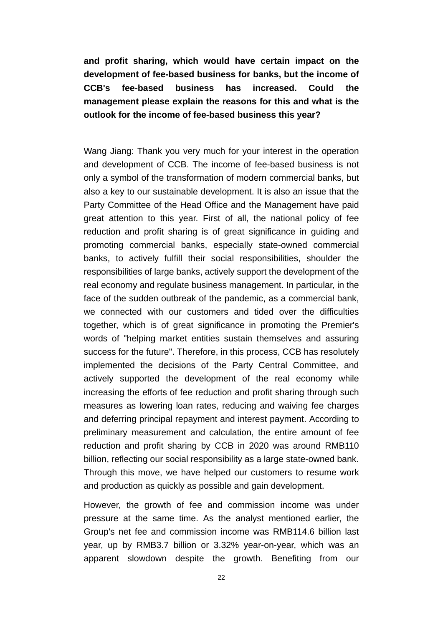**and profit sharing, which would have certain impact on the development of fee-based business for banks, but the income of CCB's fee-based business has increased. Could the management please explain the reasons for this and what is the outlook for the income of fee-based business this year?** 

Wang Jiang: Thank you very much for your interest in the operation and development of CCB. The income of fee-based business is not only a symbol of the transformation of modern commercial banks, but also a key to our sustainable development. It is also an issue that the Party Committee of the Head Office and the Management have paid great attention to this year. First of all, the national policy of fee reduction and profit sharing is of great significance in guiding and promoting commercial banks, especially state-owned commercial banks, to actively fulfill their social responsibilities, shoulder the responsibilities of large banks, actively support the development of the real economy and regulate business management. In particular, in the face of the sudden outbreak of the pandemic, as a commercial bank, we connected with our customers and tided over the difficulties together, which is of great significance in promoting the Premier's words of "helping market entities sustain themselves and assuring success for the future". Therefore, in this process, CCB has resolutely implemented the decisions of the Party Central Committee, and actively supported the development of the real economy while increasing the efforts of fee reduction and profit sharing through such measures as lowering loan rates, reducing and waiving fee charges and deferring principal repayment and interest payment. According to preliminary measurement and calculation, the entire amount of fee reduction and profit sharing by CCB in 2020 was around RMB110 billion, reflecting our social responsibility as a large state-owned bank. Through this move, we have helped our customers to resume work and production as quickly as possible and gain development.

However, the growth of fee and commission income was under pressure at the same time. As the analyst mentioned earlier, the Group's net fee and commission income was RMB114.6 billion last year, up by RMB3.7 billion or 3.32% year-on-year, which was an apparent slowdown despite the growth. Benefiting from our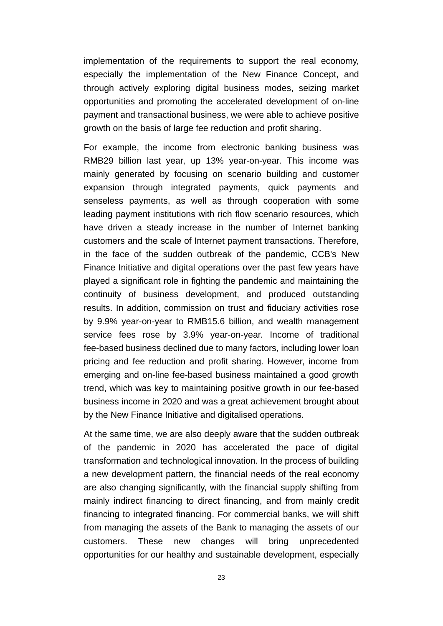implementation of the requirements to support the real economy, especially the implementation of the New Finance Concept, and through actively exploring digital business modes, seizing market opportunities and promoting the accelerated development of on-line payment and transactional business, we were able to achieve positive growth on the basis of large fee reduction and profit sharing.

For example, the income from electronic banking business was RMB29 billion last year, up 13% year-on-year. This income was mainly generated by focusing on scenario building and customer expansion through integrated payments, quick payments and senseless payments, as well as through cooperation with some leading payment institutions with rich flow scenario resources, which have driven a steady increase in the number of Internet banking customers and the scale of Internet payment transactions. Therefore, in the face of the sudden outbreak of the pandemic, CCB's New Finance Initiative and digital operations over the past few years have played a significant role in fighting the pandemic and maintaining the continuity of business development, and produced outstanding results. In addition, commission on trust and fiduciary activities rose by 9.9% year-on-year to RMB15.6 billion, and wealth management service fees rose by 3.9% year-on-year. Income of traditional fee-based business declined due to many factors, including lower loan pricing and fee reduction and profit sharing. However, income from emerging and on-line fee-based business maintained a good growth trend, which was key to maintaining positive growth in our fee-based business income in 2020 and was a great achievement brought about by the New Finance Initiative and digitalised operations.

At the same time, we are also deeply aware that the sudden outbreak of the pandemic in 2020 has accelerated the pace of digital transformation and technological innovation. In the process of building a new development pattern, the financial needs of the real economy are also changing significantly, with the financial supply shifting from mainly indirect financing to direct financing, and from mainly credit financing to integrated financing. For commercial banks, we will shift from managing the assets of the Bank to managing the assets of our customers. These new changes will bring unprecedented opportunities for our healthy and sustainable development, especially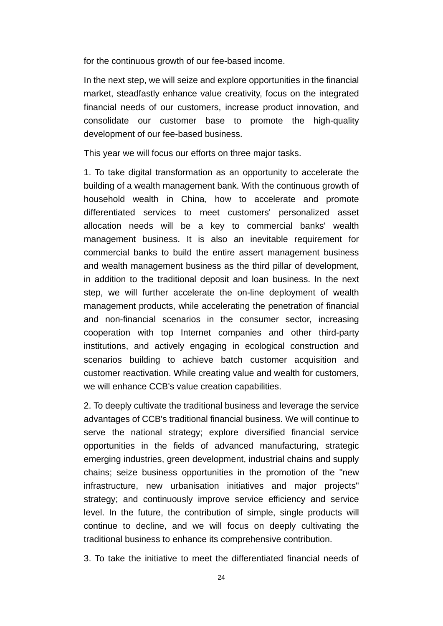for the continuous growth of our fee-based income.

In the next step, we will seize and explore opportunities in the financial market, steadfastly enhance value creativity, focus on the integrated financial needs of our customers, increase product innovation, and consolidate our customer base to promote the high-quality development of our fee-based business.

This year we will focus our efforts on three major tasks.

1. To take digital transformation as an opportunity to accelerate the building of a wealth management bank. With the continuous growth of household wealth in China, how to accelerate and promote differentiated services to meet customers' personalized asset allocation needs will be a key to commercial banks' wealth management business. It is also an inevitable requirement for commercial banks to build the entire assert management business and wealth management business as the third pillar of development, in addition to the traditional deposit and loan business. In the next step, we will further accelerate the on-line deployment of wealth management products, while accelerating the penetration of financial and non-financial scenarios in the consumer sector, increasing cooperation with top Internet companies and other third-party institutions, and actively engaging in ecological construction and scenarios building to achieve batch customer acquisition and customer reactivation. While creating value and wealth for customers, we will enhance CCB's value creation capabilities.

2. To deeply cultivate the traditional business and leverage the service advantages of CCB's traditional financial business. We will continue to serve the national strategy; explore diversified financial service opportunities in the fields of advanced manufacturing, strategic emerging industries, green development, industrial chains and supply chains; seize business opportunities in the promotion of the "new infrastructure, new urbanisation initiatives and major projects" strategy; and continuously improve service efficiency and service level. In the future, the contribution of simple, single products will continue to decline, and we will focus on deeply cultivating the traditional business to enhance its comprehensive contribution.

3. To take the initiative to meet the differentiated financial needs of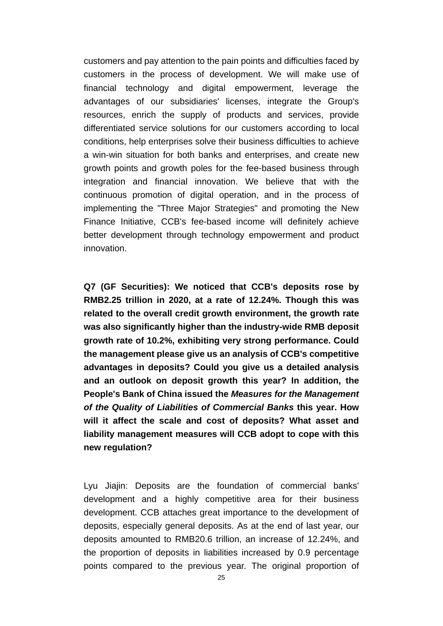customers and pay attention to the pain points and difficulties faced by customers in the process of development. We will make use of financial technology and digital empowerment, leverage the advantages of our subsidiaries' licenses, integrate the Group's resources, enrich the supply of products and services, provide differentiated service solutions for our customers according to local conditions, help enterprises solve their business difficulties to achieve a win-win situation for both banks and enterprises, and create new growth points and growth poles for the fee-based business through integration and financial innovation. We believe that with the continuous promotion of digital operation, and in the process of implementing the "Three Major Strategies" and promoting the New Finance Initiative, CCB's fee-based income will definitely achieve better development through technology empowerment and product innovation.

**Q7 (GF Securities): We noticed that CCB's deposits rose by RMB2.25 trillion in 2020, at a rate of 12.24%. Though this was related to the overall credit growth environment, the growth rate was also significantly higher than the industry-wide RMB deposit growth rate of 10.2%, exhibiting very strong performance. Could the management please give us an analysis of CCB's competitive advantages in deposits? Could you give us a detailed analysis and an outlook on deposit growth this year? In addition, the People's Bank of China issued the** *Measures for the Management of the Quality of Liabilities of Commercial Banks* **this year. How will it affect the scale and cost of deposits? What asset and liability management measures will CCB adopt to cope with this new regulation?** 

Lyu Jiajin: Deposits are the foundation of commercial banks' development and a highly competitive area for their business development. CCB attaches great importance to the development of deposits, especially general deposits. As at the end of last year, our deposits amounted to RMB20.6 trillion, an increase of 12.24%, and the proportion of deposits in liabilities increased by 0.9 percentage points compared to the previous year. The original proportion of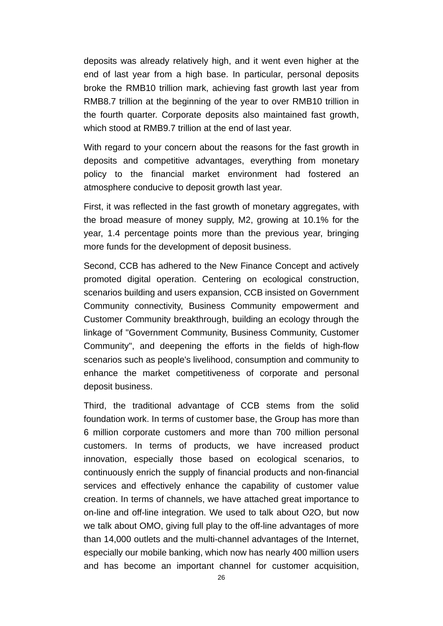deposits was already relatively high, and it went even higher at the end of last year from a high base. In particular, personal deposits broke the RMB10 trillion mark, achieving fast growth last year from RMB8.7 trillion at the beginning of the year to over RMB10 trillion in the fourth quarter. Corporate deposits also maintained fast growth, which stood at RMB9.7 trillion at the end of last year.

With regard to your concern about the reasons for the fast growth in deposits and competitive advantages, everything from monetary policy to the financial market environment had fostered an atmosphere conducive to deposit growth last year.

First, it was reflected in the fast growth of monetary aggregates, with the broad measure of money supply, M2, growing at 10.1% for the year, 1.4 percentage points more than the previous year, bringing more funds for the development of deposit business.

Second, CCB has adhered to the New Finance Concept and actively promoted digital operation. Centering on ecological construction, scenarios building and users expansion, CCB insisted on Government Community connectivity, Business Community empowerment and Customer Community breakthrough, building an ecology through the linkage of "Government Community, Business Community, Customer Community", and deepening the efforts in the fields of high-flow scenarios such as people's livelihood, consumption and community to enhance the market competitiveness of corporate and personal deposit business.

Third, the traditional advantage of CCB stems from the solid foundation work. In terms of customer base, the Group has more than 6 million corporate customers and more than 700 million personal customers. In terms of products, we have increased product innovation, especially those based on ecological scenarios, to continuously enrich the supply of financial products and non-financial services and effectively enhance the capability of customer value creation. In terms of channels, we have attached great importance to on-line and off-line integration. We used to talk about O2O, but now we talk about OMO, giving full play to the off-line advantages of more than 14,000 outlets and the multi-channel advantages of the Internet, especially our mobile banking, which now has nearly 400 million users and has become an important channel for customer acquisition,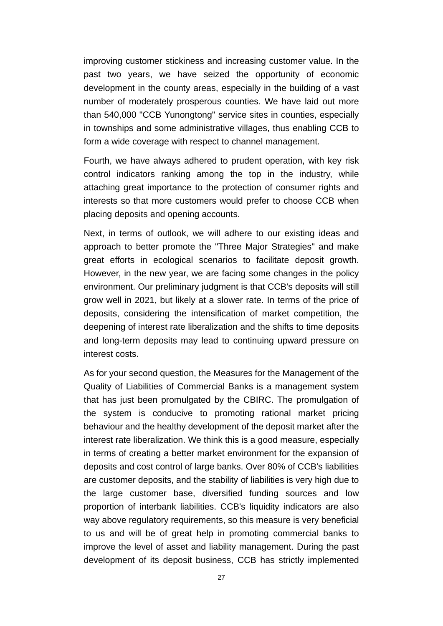improving customer stickiness and increasing customer value. In the past two years, we have seized the opportunity of economic development in the county areas, especially in the building of a vast number of moderately prosperous counties. We have laid out more than 540,000 "CCB Yunongtong" service sites in counties, especially in townships and some administrative villages, thus enabling CCB to form a wide coverage with respect to channel management.

Fourth, we have always adhered to prudent operation, with key risk control indicators ranking among the top in the industry, while attaching great importance to the protection of consumer rights and interests so that more customers would prefer to choose CCB when placing deposits and opening accounts.

Next, in terms of outlook, we will adhere to our existing ideas and approach to better promote the "Three Major Strategies" and make great efforts in ecological scenarios to facilitate deposit growth. However, in the new year, we are facing some changes in the policy environment. Our preliminary judgment is that CCB's deposits will still grow well in 2021, but likely at a slower rate. In terms of the price of deposits, considering the intensification of market competition, the deepening of interest rate liberalization and the shifts to time deposits and long-term deposits may lead to continuing upward pressure on interest costs.

As for your second question, the Measures for the Management of the Quality of Liabilities of Commercial Banks is a management system that has just been promulgated by the CBIRC. The promulgation of the system is conducive to promoting rational market pricing behaviour and the healthy development of the deposit market after the interest rate liberalization. We think this is a good measure, especially in terms of creating a better market environment for the expansion of deposits and cost control of large banks. Over 80% of CCB's liabilities are customer deposits, and the stability of liabilities is very high due to the large customer base, diversified funding sources and low proportion of interbank liabilities. CCB's liquidity indicators are also way above regulatory requirements, so this measure is very beneficial to us and will be of great help in promoting commercial banks to improve the level of asset and liability management. During the past development of its deposit business, CCB has strictly implemented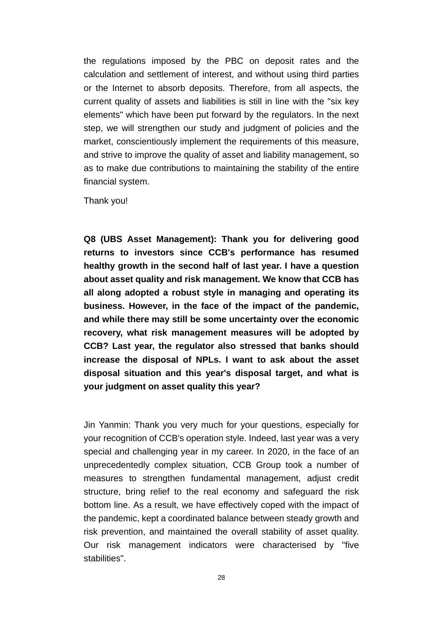the regulations imposed by the PBC on deposit rates and the calculation and settlement of interest, and without using third parties or the Internet to absorb deposits. Therefore, from all aspects, the current quality of assets and liabilities is still in line with the "six key elements" which have been put forward by the regulators. In the next step, we will strengthen our study and judgment of policies and the market, conscientiously implement the requirements of this measure, and strive to improve the quality of asset and liability management, so as to make due contributions to maintaining the stability of the entire financial system.

Thank you!

**Q8 (UBS Asset Management): Thank you for delivering good returns to investors since CCB's performance has resumed healthy growth in the second half of last year. I have a question about asset quality and risk management. We know that CCB has all along adopted a robust style in managing and operating its business. However, in the face of the impact of the pandemic, and while there may still be some uncertainty over the economic recovery, what risk management measures will be adopted by CCB? Last year, the regulator also stressed that banks should increase the disposal of NPLs. I want to ask about the asset disposal situation and this year's disposal target, and what is your judgment on asset quality this year?** 

Jin Yanmin: Thank you very much for your questions, especially for your recognition of CCB's operation style. Indeed, last year was a very special and challenging year in my career. In 2020, in the face of an unprecedentedly complex situation, CCB Group took a number of measures to strengthen fundamental management, adjust credit structure, bring relief to the real economy and safeguard the risk bottom line. As a result, we have effectively coped with the impact of the pandemic, kept a coordinated balance between steady growth and risk prevention, and maintained the overall stability of asset quality. Our risk management indicators were characterised by "five stabilities".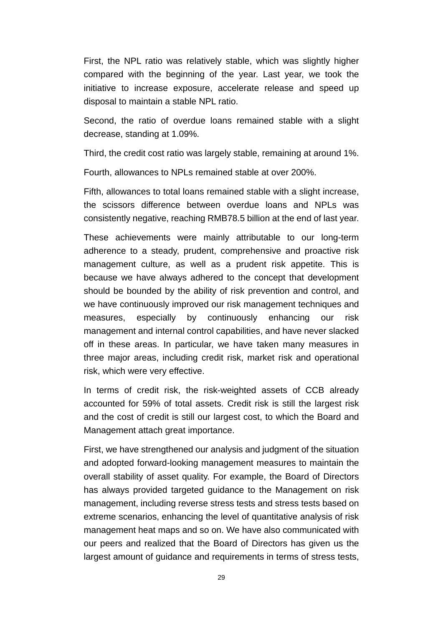First, the NPL ratio was relatively stable, which was slightly higher compared with the beginning of the year. Last year, we took the initiative to increase exposure, accelerate release and speed up disposal to maintain a stable NPL ratio.

Second, the ratio of overdue loans remained stable with a slight decrease, standing at 1.09%.

Third, the credit cost ratio was largely stable, remaining at around 1%.

Fourth, allowances to NPLs remained stable at over 200%.

Fifth, allowances to total loans remained stable with a slight increase, the scissors difference between overdue loans and NPLs was consistently negative, reaching RMB78.5 billion at the end of last year.

These achievements were mainly attributable to our long-term adherence to a steady, prudent, comprehensive and proactive risk management culture, as well as a prudent risk appetite. This is because we have always adhered to the concept that development should be bounded by the ability of risk prevention and control, and we have continuously improved our risk management techniques and measures, especially by continuously enhancing our risk management and internal control capabilities, and have never slacked off in these areas. In particular, we have taken many measures in three major areas, including credit risk, market risk and operational risk, which were very effective.

In terms of credit risk, the risk-weighted assets of CCB already accounted for 59% of total assets. Credit risk is still the largest risk and the cost of credit is still our largest cost, to which the Board and Management attach great importance.

First, we have strengthened our analysis and judgment of the situation and adopted forward-looking management measures to maintain the overall stability of asset quality. For example, the Board of Directors has always provided targeted guidance to the Management on risk management, including reverse stress tests and stress tests based on extreme scenarios, enhancing the level of quantitative analysis of risk management heat maps and so on. We have also communicated with our peers and realized that the Board of Directors has given us the largest amount of guidance and requirements in terms of stress tests,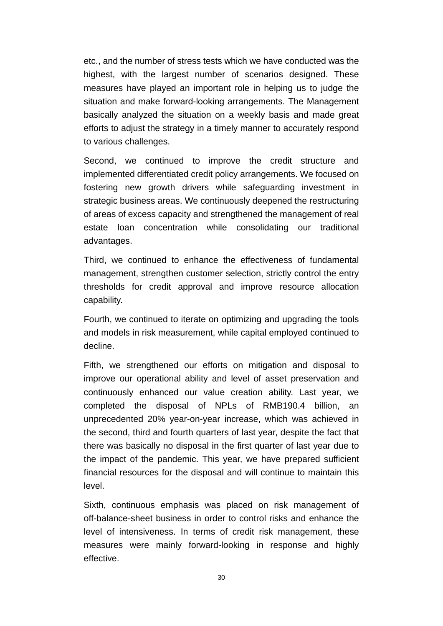etc., and the number of stress tests which we have conducted was the highest, with the largest number of scenarios designed. These measures have played an important role in helping us to judge the situation and make forward-looking arrangements. The Management basically analyzed the situation on a weekly basis and made great efforts to adjust the strategy in a timely manner to accurately respond to various challenges.

Second, we continued to improve the credit structure and implemented differentiated credit policy arrangements. We focused on fostering new growth drivers while safeguarding investment in strategic business areas. We continuously deepened the restructuring of areas of excess capacity and strengthened the management of real estate loan concentration while consolidating our traditional advantages.

Third, we continued to enhance the effectiveness of fundamental management, strengthen customer selection, strictly control the entry thresholds for credit approval and improve resource allocation capability.

Fourth, we continued to iterate on optimizing and upgrading the tools and models in risk measurement, while capital employed continued to decline.

Fifth, we strengthened our efforts on mitigation and disposal to improve our operational ability and level of asset preservation and continuously enhanced our value creation ability. Last year, we completed the disposal of NPLs of RMB190.4 billion, an unprecedented 20% year-on-year increase, which was achieved in the second, third and fourth quarters of last year, despite the fact that there was basically no disposal in the first quarter of last year due to the impact of the pandemic. This year, we have prepared sufficient financial resources for the disposal and will continue to maintain this level.

Sixth, continuous emphasis was placed on risk management of off-balance-sheet business in order to control risks and enhance the level of intensiveness. In terms of credit risk management, these measures were mainly forward-looking in response and highly effective.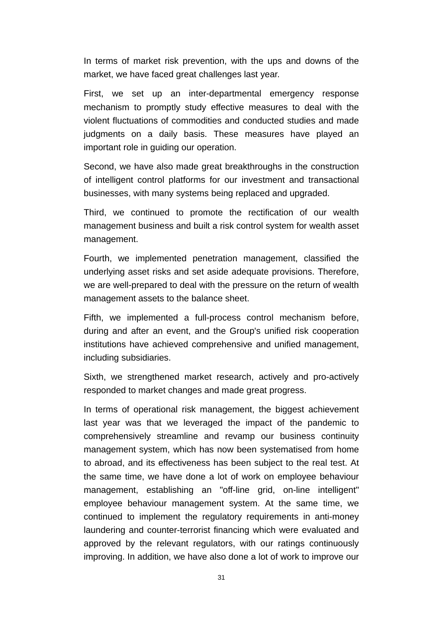In terms of market risk prevention, with the ups and downs of the market, we have faced great challenges last year.

First, we set up an inter-departmental emergency response mechanism to promptly study effective measures to deal with the violent fluctuations of commodities and conducted studies and made judgments on a daily basis. These measures have played an important role in guiding our operation.

Second, we have also made great breakthroughs in the construction of intelligent control platforms for our investment and transactional businesses, with many systems being replaced and upgraded.

Third, we continued to promote the rectification of our wealth management business and built a risk control system for wealth asset management.

Fourth, we implemented penetration management, classified the underlying asset risks and set aside adequate provisions. Therefore, we are well-prepared to deal with the pressure on the return of wealth management assets to the balance sheet.

Fifth, we implemented a full-process control mechanism before, during and after an event, and the Group's unified risk cooperation institutions have achieved comprehensive and unified management, including subsidiaries.

Sixth, we strengthened market research, actively and pro-actively responded to market changes and made great progress.

In terms of operational risk management, the biggest achievement last year was that we leveraged the impact of the pandemic to comprehensively streamline and revamp our business continuity management system, which has now been systematised from home to abroad, and its effectiveness has been subject to the real test. At the same time, we have done a lot of work on employee behaviour management, establishing an "off-line grid, on-line intelligent" employee behaviour management system. At the same time, we continued to implement the regulatory requirements in anti-money laundering and counter-terrorist financing which were evaluated and approved by the relevant regulators, with our ratings continuously improving. In addition, we have also done a lot of work to improve our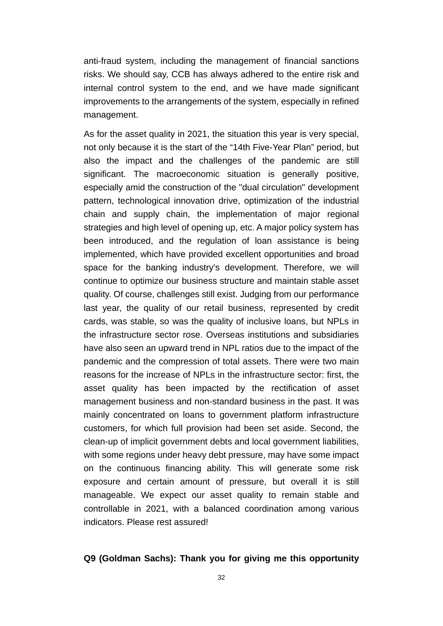anti-fraud system, including the management of financial sanctions risks. We should say, CCB has always adhered to the entire risk and internal control system to the end, and we have made significant improvements to the arrangements of the system, especially in refined management.

As for the asset quality in 2021, the situation this year is very special, not only because it is the start of the "14th Five-Year Plan" period, but also the impact and the challenges of the pandemic are still significant. The macroeconomic situation is generally positive, especially amid the construction of the "dual circulation" development pattern, technological innovation drive, optimization of the industrial chain and supply chain, the implementation of major regional strategies and high level of opening up, etc. A major policy system has been introduced, and the regulation of loan assistance is being implemented, which have provided excellent opportunities and broad space for the banking industry's development. Therefore, we will continue to optimize our business structure and maintain stable asset quality. Of course, challenges still exist. Judging from our performance last year, the quality of our retail business, represented by credit cards, was stable, so was the quality of inclusive loans, but NPLs in the infrastructure sector rose. Overseas institutions and subsidiaries have also seen an upward trend in NPL ratios due to the impact of the pandemic and the compression of total assets. There were two main reasons for the increase of NPLs in the infrastructure sector: first, the asset quality has been impacted by the rectification of asset management business and non-standard business in the past. It was mainly concentrated on loans to government platform infrastructure customers, for which full provision had been set aside. Second, the clean-up of implicit government debts and local government liabilities, with some regions under heavy debt pressure, may have some impact on the continuous financing ability. This will generate some risk exposure and certain amount of pressure, but overall it is still manageable. We expect our asset quality to remain stable and controllable in 2021, with a balanced coordination among various indicators. Please rest assured!

#### **Q9 (Goldman Sachs): Thank you for giving me this opportunity**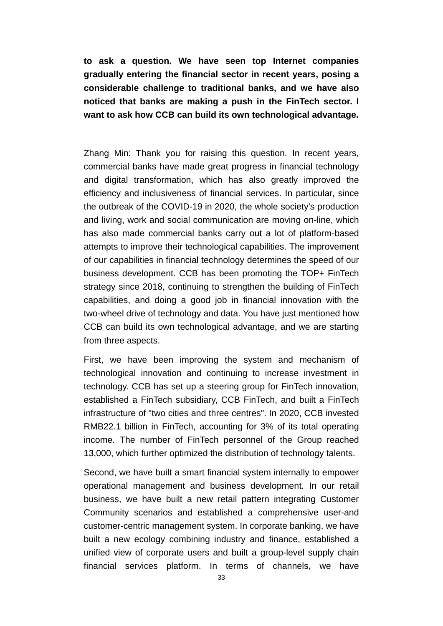**to ask a question. We have seen top Internet companies gradually entering the financial sector in recent years, posing a considerable challenge to traditional banks, and we have also noticed that banks are making a push in the FinTech sector. I want to ask how CCB can build its own technological advantage.** 

Zhang Min: Thank you for raising this question. In recent years, commercial banks have made great progress in financial technology and digital transformation, which has also greatly improved the efficiency and inclusiveness of financial services. In particular, since the outbreak of the COVID-19 in 2020, the whole society's production and living, work and social communication are moving on-line, which has also made commercial banks carry out a lot of platform-based attempts to improve their technological capabilities. The improvement of our capabilities in financial technology determines the speed of our business development. CCB has been promoting the TOP+ FinTech strategy since 2018, continuing to strengthen the building of FinTech capabilities, and doing a good job in financial innovation with the two-wheel drive of technology and data. You have just mentioned how CCB can build its own technological advantage, and we are starting from three aspects.

First, we have been improving the system and mechanism of technological innovation and continuing to increase investment in technology. CCB has set up a steering group for FinTech innovation, established a FinTech subsidiary, CCB FinTech, and built a FinTech infrastructure of "two cities and three centres". In 2020, CCB invested RMB22.1 billion in FinTech, accounting for 3% of its total operating income. The number of FinTech personnel of the Group reached 13,000, which further optimized the distribution of technology talents.

Second, we have built a smart financial system internally to empower operational management and business development. In our retail business, we have built a new retail pattern integrating Customer Community scenarios and established a comprehensive user-and customer-centric management system. In corporate banking, we have built a new ecology combining industry and finance, established a unified view of corporate users and built a group-level supply chain financial services platform. In terms of channels, we have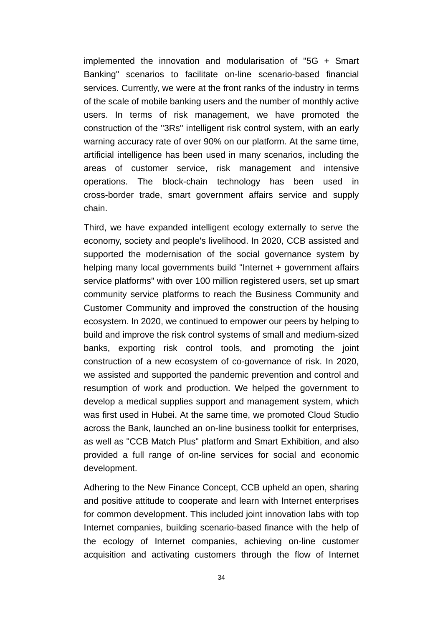implemented the innovation and modularisation of "5G + Smart Banking" scenarios to facilitate on-line scenario-based financial services. Currently, we were at the front ranks of the industry in terms of the scale of mobile banking users and the number of monthly active users. In terms of risk management, we have promoted the construction of the "3Rs" intelligent risk control system, with an early warning accuracy rate of over 90% on our platform. At the same time, artificial intelligence has been used in many scenarios, including the areas of customer service, risk management and intensive operations. The block-chain technology has been used in cross-border trade, smart government affairs service and supply chain.

Third, we have expanded intelligent ecology externally to serve the economy, society and people's livelihood. In 2020, CCB assisted and supported the modernisation of the social governance system by helping many local governments build "Internet + government affairs service platforms" with over 100 million registered users, set up smart community service platforms to reach the Business Community and Customer Community and improved the construction of the housing ecosystem. In 2020, we continued to empower our peers by helping to build and improve the risk control systems of small and medium-sized banks, exporting risk control tools, and promoting the joint construction of a new ecosystem of co-governance of risk. In 2020, we assisted and supported the pandemic prevention and control and resumption of work and production. We helped the government to develop a medical supplies support and management system, which was first used in Hubei. At the same time, we promoted Cloud Studio across the Bank, launched an on-line business toolkit for enterprises, as well as "CCB Match Plus" platform and Smart Exhibition, and also provided a full range of on-line services for social and economic development.

Adhering to the New Finance Concept, CCB upheld an open, sharing and positive attitude to cooperate and learn with Internet enterprises for common development. This included joint innovation labs with top Internet companies, building scenario-based finance with the help of the ecology of Internet companies, achieving on-line customer acquisition and activating customers through the flow of Internet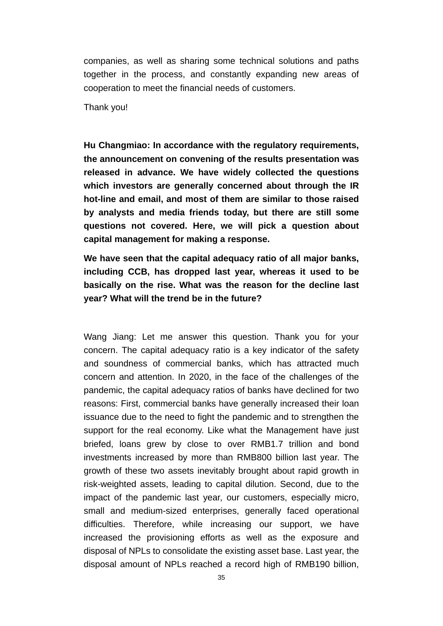companies, as well as sharing some technical solutions and paths together in the process, and constantly expanding new areas of cooperation to meet the financial needs of customers.

Thank you!

**Hu Changmiao: In accordance with the regulatory requirements, the announcement on convening of the results presentation was released in advance. We have widely collected the questions which investors are generally concerned about through the IR hot-line and email, and most of them are similar to those raised by analysts and media friends today, but there are still some questions not covered. Here, we will pick a question about capital management for making a response.** 

**We have seen that the capital adequacy ratio of all major banks, including CCB, has dropped last year, whereas it used to be basically on the rise. What was the reason for the decline last year? What will the trend be in the future?** 

Wang Jiang: Let me answer this question. Thank you for your concern. The capital adequacy ratio is a key indicator of the safety and soundness of commercial banks, which has attracted much concern and attention. In 2020, in the face of the challenges of the pandemic, the capital adequacy ratios of banks have declined for two reasons: First, commercial banks have generally increased their loan issuance due to the need to fight the pandemic and to strengthen the support for the real economy. Like what the Management have just briefed, loans grew by close to over RMB1.7 trillion and bond investments increased by more than RMB800 billion last year. The growth of these two assets inevitably brought about rapid growth in risk-weighted assets, leading to capital dilution. Second, due to the impact of the pandemic last year, our customers, especially micro, small and medium-sized enterprises, generally faced operational difficulties. Therefore, while increasing our support, we have increased the provisioning efforts as well as the exposure and disposal of NPLs to consolidate the existing asset base. Last year, the disposal amount of NPLs reached a record high of RMB190 billion,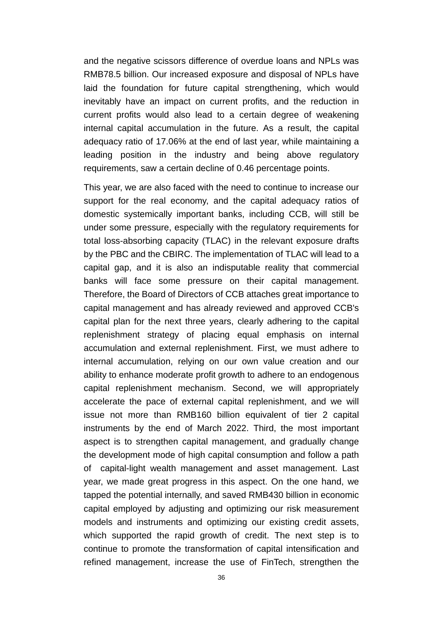and the negative scissors difference of overdue loans and NPLs was RMB78.5 billion. Our increased exposure and disposal of NPLs have laid the foundation for future capital strengthening, which would inevitably have an impact on current profits, and the reduction in current profits would also lead to a certain degree of weakening internal capital accumulation in the future. As a result, the capital adequacy ratio of 17.06% at the end of last year, while maintaining a leading position in the industry and being above regulatory requirements, saw a certain decline of 0.46 percentage points.

This year, we are also faced with the need to continue to increase our support for the real economy, and the capital adequacy ratios of domestic systemically important banks, including CCB, will still be under some pressure, especially with the regulatory requirements for total loss-absorbing capacity (TLAC) in the relevant exposure drafts by the PBC and the CBIRC. The implementation of TLAC will lead to a capital gap, and it is also an indisputable reality that commercial banks will face some pressure on their capital management. Therefore, the Board of Directors of CCB attaches great importance to capital management and has already reviewed and approved CCB's capital plan for the next three years, clearly adhering to the capital replenishment strategy of placing equal emphasis on internal accumulation and external replenishment. First, we must adhere to internal accumulation, relying on our own value creation and our ability to enhance moderate profit growth to adhere to an endogenous capital replenishment mechanism. Second, we will appropriately accelerate the pace of external capital replenishment, and we will issue not more than RMB160 billion equivalent of tier 2 capital instruments by the end of March 2022. Third, the most important aspect is to strengthen capital management, and gradually change the development mode of high capital consumption and follow a path of capital-light wealth management and asset management. Last year, we made great progress in this aspect. On the one hand, we tapped the potential internally, and saved RMB430 billion in economic capital employed by adjusting and optimizing our risk measurement models and instruments and optimizing our existing credit assets, which supported the rapid growth of credit. The next step is to continue to promote the transformation of capital intensification and refined management, increase the use of FinTech, strengthen the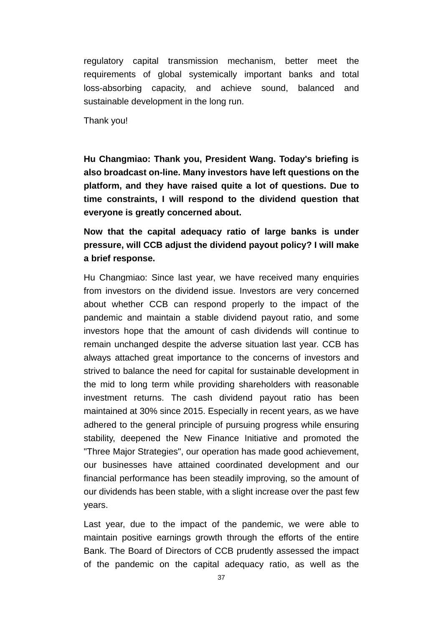regulatory capital transmission mechanism, better meet the requirements of global systemically important banks and total loss-absorbing capacity, and achieve sound, balanced and sustainable development in the long run.

Thank you!

**Hu Changmiao: Thank you, President Wang. Today's briefing is also broadcast on-line. Many investors have left questions on the platform, and they have raised quite a lot of questions. Due to time constraints, I will respond to the dividend question that everyone is greatly concerned about.** 

## **Now that the capital adequacy ratio of large banks is under pressure, will CCB adjust the dividend payout policy? I will make a brief response.**

Hu Changmiao: Since last year, we have received many enquiries from investors on the dividend issue. Investors are very concerned about whether CCB can respond properly to the impact of the pandemic and maintain a stable dividend payout ratio, and some investors hope that the amount of cash dividends will continue to remain unchanged despite the adverse situation last year. CCB has always attached great importance to the concerns of investors and strived to balance the need for capital for sustainable development in the mid to long term while providing shareholders with reasonable investment returns. The cash dividend payout ratio has been maintained at 30% since 2015. Especially in recent years, as we have adhered to the general principle of pursuing progress while ensuring stability, deepened the New Finance Initiative and promoted the "Three Major Strategies", our operation has made good achievement, our businesses have attained coordinated development and our financial performance has been steadily improving, so the amount of our dividends has been stable, with a slight increase over the past few years.

Last year, due to the impact of the pandemic, we were able to maintain positive earnings growth through the efforts of the entire Bank. The Board of Directors of CCB prudently assessed the impact of the pandemic on the capital adequacy ratio, as well as the